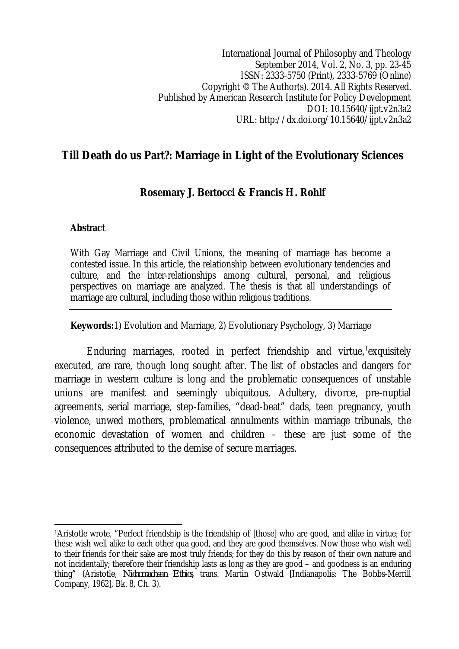## **Till Death do us Part?: Marriage in Light of the Evolutionary Sciences**

### **Rosemary J. Bertocci & Francis H. Rohlf**

#### **Abstract**

With Gay Marriage and Civil Unions, the meaning of marriage has become a contested issue. In this article, the relationship between evolutionary tendencies and culture, and the inter-relationships among cultural, personal, and religious perspectives on marriage are analyzed. The thesis is that all understandings of marriage are cultural, including those within religious traditions.

**Keywords:**1) Evolution and Marriage, 2) Evolutionary Psychology, 3) Marriage

Enduring marriages, rooted in perfect friendship and virtue,<sup>1</sup>exquisitely executed, are rare, though long sought after. The list of obstacles and dangers for marriage in western culture is long and the problematic consequences of unstable unions are manifest and seemingly ubiquitous. Adultery, divorce, pre-nuptial agreements, serial marriage, step-families, "dead-beat" dads, teen pregnancy, youth violence, unwed mothers, problematical annulments within marriage tribunals, the economic devastation of women and children – these are just some of the consequences attributed to the demise of secure marriages.

 $\overline{\phantom{a}}$ <sup>1</sup>Aristotle wrote, "Perfect friendship is the friendship of [those] who are good, and alike in virtue; for these wish well alike to each other qua good, and they are good themselves. Now those who wish well to their friends for their sake are most truly friends; for they do this by reason of their own nature and not incidentally; therefore their friendship lasts as long as they are good – and goodness is an enduring thing" (Aristotle, *Nichomachean Ethics*, trans. Martin Ostwald [Indianapolis: The Bobbs-Merrill Company, 1962], Bk. 8, Ch. 3).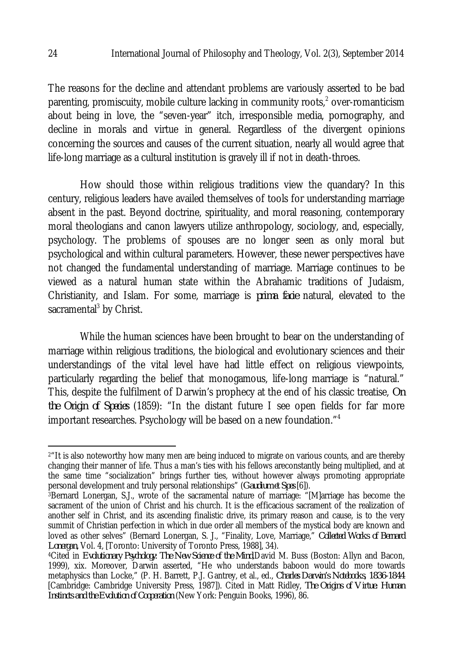The reasons for the decline and attendant problems are variously asserted to be bad parenting, promiscuity, mobile culture lacking in community roots,<sup>2</sup> over-romanticism about being in love, the "seven-year" itch, irresponsible media, pornography, and decline in morals and virtue in general. Regardless of the divergent opinions concerning the sources and causes of the current situation, nearly all would agree that life-long marriage as a cultural institution is gravely ill if not in death-throes.

How should those within religious traditions view the quandary? In this century, religious leaders have availed themselves of tools for understanding marriage absent in the past. Beyond doctrine, spirituality, and moral reasoning, contemporary moral theologians and canon lawyers utilize anthropology, sociology, and, especially, psychology. The problems of spouses are no longer seen as only moral but psychological and within cultural parameters. However, these newer perspectives have not changed the fundamental understanding of marriage. Marriage continues to be viewed as a natural human state within the Abrahamic traditions of Judaism, Christianity, and Islam. For some, marriage is *prima facie* natural, elevated to the sacramental<sup>3</sup> by Christ.

While the human sciences have been brought to bear on the understanding of marriage within religious traditions, the biological and evolutionary sciences and their understandings of the vital level have had little effect on religious viewpoints, particularly regarding the belief that monogamous, life-long marriage is "natural." This, despite the fulfilment of Darwin's prophecy at the end of his classic treatise, *On the Origin of Species* (1859): "In the distant future I see open fields for far more important researches. Psychology will be based on a new foundation."<sup>4</sup>

 $\overline{a}$ <sup>2"</sup>It is also noteworthy how many men are being induced to migrate on various counts, and are thereby changing their manner of life. Thus a man's ties with his fellows areconstantly being multiplied, and at the same time "socialization" brings further ties, without however always promoting appropriate personal development and truly personal relationships" (*Gaudium et Spes* [6]).

<sup>3</sup>Bernard Lonergan, S.J., wrote of the sacramental nature of marriage: "[M]arriage has become the sacrament of the union of Christ and his church. It is the efficacious sacrament of the realization of another self in Christ, and its ascending finalistic drive, its primary reason and cause, is to the very summit of Christian perfection in which in due order all members of the mystical body are known and loved as other selves" (Bernard Lonergan, S. J., "Finality, Love, Marriage," *Collected Works of Bernard Lonergan,* Vol. 4, [Toronto: University of Toronto Press, 1988], 34).

<sup>4</sup>Cited in *Evolutionary Psychology: The New Science of the Mind*,David M. Buss (Boston: Allyn and Bacon, 1999), xix. Moreover, Darwin asserted, "He who understands baboon would do more towards metaphysics than Locke," (P. H. Barrett, P.J. Gantrey, et al., ed., *Charles Darwin's Notebooks, 1836-1844* [Cambridge: Cambridge University Press, 1987]). Cited in Matt Ridley, *The Origins of Virtue: Human Instincts and the Evolution of Cooperation* (New York: Penguin Books, 1996), 86.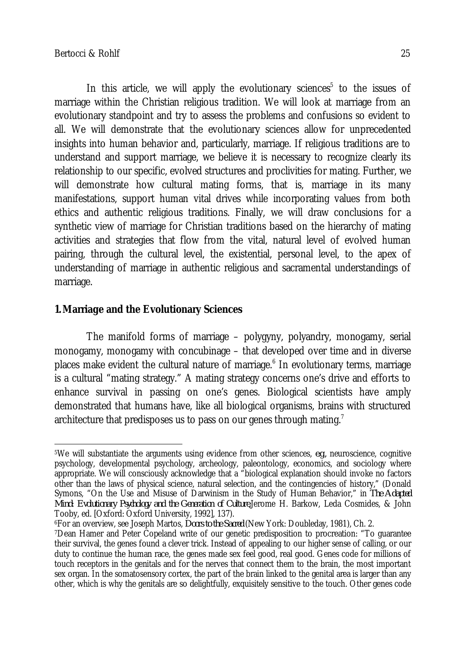In this article, we will apply the evolutionary sciences $5$  to the issues of marriage within the Christian religious tradition. We will look at marriage from an evolutionary standpoint and try to assess the problems and confusions so evident to all. We will demonstrate that the evolutionary sciences allow for unprecedented insights into human behavior and, particularly, marriage. If religious traditions are to understand and support marriage, we believe it is necessary to recognize clearly its relationship to our specific, evolved structures and proclivities for mating. Further, we will demonstrate how cultural mating forms, that is, marriage in its many manifestations, support human vital drives while incorporating values from both ethics and authentic religious traditions. Finally, we will draw conclusions for a synthetic view of marriage for Christian traditions based on the hierarchy of mating activities and strategies that flow from the vital, natural level of evolved human pairing, through the cultural level, the existential, personal level, to the apex of understanding of marriage in authentic religious and sacramental understandings of marriage.

### **1.Marriage and the Evolutionary Sciences**

The manifold forms of marriage – polygyny, polyandry, monogamy, serial monogamy, monogamy with concubinage – that developed over time and in diverse places make evident the cultural nature of marriage.<sup>6</sup> In evolutionary terms, marriage is a cultural "mating strategy." A mating strategy concerns one's drive and efforts to enhance survival in passing on one's genes. Biological scientists have amply demonstrated that humans have, like all biological organisms, brains with structured architecture that predisposes us to pass on our genes through mating.<sup>7</sup>

<sup>6</sup>For an overview, see Joseph Martos, *Doors to the Sacred* (New York: Doubleday, 1981), Ch. 2.

 $\overline{\phantom{a}}$ <sup>5</sup>We will substantiate the arguments using evidence from other sciences, *e.g.,* neuroscience, cognitive psychology, developmental psychology, archeology, paleontology, economics, and sociology where appropriate. We will consciously acknowledge that a "biological explanation should invoke no factors other than the laws of physical science, natural selection, and the contingencies of history," (Donald Symons, "On the Use and Misuse of Darwinism in the Study of Human Behavior," in *The Adapted Mind: Evolutionary Psychology and the Generation of Culture,*Jerome H. Barkow, Leda Cosmides, & John Tooby, ed. [Oxford: Oxford University, 1992], 137).

<sup>7</sup>Dean Hamer and Peter Copeland write of our genetic predisposition to procreation: "To guarantee their survival, the genes found a clever trick. Instead of appealing to our higher sense of calling, or our duty to continue the human race, the genes made sex feel good, real good. Genes code for millions of touch receptors in the genitals and for the nerves that connect them to the brain, the most important sex organ. In the somatosensory cortex, the part of the brain linked to the genital area is larger than any other, which is why the genitals are so delightfully, exquisitely sensitive to the touch. Other genes code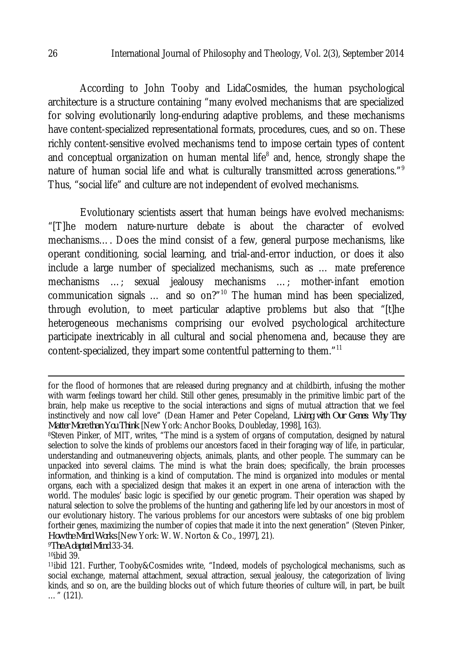According to John Tooby and LidaCosmides, the human psychological architecture is a structure containing "many evolved mechanisms that are specialized for solving evolutionarily long-enduring adaptive problems, and these mechanisms have content-specialized representational formats, procedures, cues, and so on. These richly content-sensitive evolved mechanisms tend to impose certain types of content and conceptual organization on human mental life $^8$  and, hence, strongly shape the nature of human social life and what is culturally transmitted across generations."<sup>9</sup> Thus, "social life" and culture are not independent of evolved mechanisms.

Evolutionary scientists assert that human beings have evolved mechanisms: "[T]he modern nature-nurture debate is about the character of evolved mechanisms…. Does the mind consist of a few, general purpose mechanisms, like operant conditioning, social learning, and trial-and-error induction, or does it also include a large number of specialized mechanisms, such as … mate preference mechanisms ...; sexual jealousy mechanisms ...; mother-infant emotion communication signals … and so on?"<sup>10</sup> The human mind has been specialized, through evolution, to meet particular adaptive problems but also that "[t]he heterogeneous mechanisms comprising our evolved psychological architecture participate inextricably in all cultural and social phenomena and, because they are content-specialized, they impart some contentful patterning to them."<sup>11</sup>

<sup>9</sup>*The Adapted Mind* 33-34.

<sup>10</sup>ibid 39.

 $\overline{a}$ for the flood of hormones that are released during pregnancy and at childbirth, infusing the mother with warm feelings toward her child. Still other genes, presumably in the primitive limbic part of the brain, help make us receptive to the social interactions and signs of mutual attraction that we feel instinctively and now call love" (Dean Hamer and Peter Copeland, *Living with Our Genes: Why They Matter More than You Think* [New York: Anchor Books, Doubleday, 1998], 163).

<sup>8</sup>Steven Pinker, of MIT, writes, "The mind is a system of organs of computation, designed by natural selection to solve the kinds of problems our ancestors faced in their foraging way of life, in particular, understanding and outmaneuvering objects, animals, plants, and other people. The summary can be unpacked into several claims. The mind is what the brain does; specifically, the brain processes information, and thinking is a kind of computation. The mind is organized into modules or mental organs, each with a specialized design that makes it an expert in one arena of interaction with the world. The modules' basic logic is specified by our genetic program. Their operation was shaped by natural selection to solve the problems of the hunting and gathering life led by our ancestors in most of our evolutionary history. The various problems for our ancestors were subtasks of one big problem fortheir genes, maximizing the number of copies that made it into the next generation" (Steven Pinker, *How the Mind Works* [New York: W. W. Norton & Co., 1997], 21).

<sup>11</sup>ibid 121. Further, Tooby&Cosmides write, "Indeed, models of psychological mechanisms, such as social exchange, maternal attachment, sexual attraction, sexual jealousy, the categorization of living kinds, and so on, are the building blocks out of which future theories of culture will, in part, be built …" (121).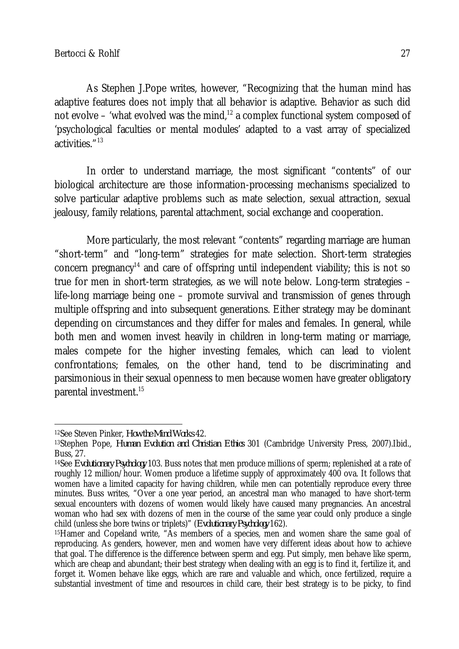As Stephen J.Pope writes, however, "Recognizing that the human mind has adaptive features does not imply that all behavior is adaptive. Behavior as such did not evolve – 'what evolved was the mind, $12$  a complex functional system composed of 'psychological faculties or mental modules' adapted to a vast array of specialized activities."<sup>13</sup>

In order to understand marriage, the most significant "contents" of our biological architecture are those information-processing mechanisms specialized to solve particular adaptive problems such as mate selection, sexual attraction, sexual jealousy, family relations, parental attachment, social exchange and cooperation.

More particularly, the most relevant "contents" regarding marriage are human "short-term" and "long-term" strategies for mate selection. Short-term strategies concern pregnancy<sup>14</sup> and care of offspring until independent viability; this is not so true for men in short-term strategies, as we will note below. Long-term strategies – life-long marriage being one – promote survival and transmission of genes through multiple offspring and into subsequent generations. Either strategy may be dominant depending on circumstances and they differ for males and females. In general, while both men and women invest heavily in children in long-term mating or marriage, males compete for the higher investing females, which can lead to violent confrontations; females, on the other hand, tend to be discriminating and parsimonious in their sexual openness to men because women have greater obligatory parental investment.<sup>15</sup>

 $\overline{a}$ <sup>12</sup>See Steven Pinker, *How the Mind Works* 42.

<sup>13</sup>Stephen Pope, *Human Evolution and Christian Ethics* 301 (Cambridge University Press, 2007).Ibid., Buss, 27.

<sup>14</sup>See *Evolutionary Psychology* 103. Buss notes that men produce millions of sperm; replenished at a rate of roughly 12 million/hour. Women produce a lifetime supply of approximately 400 ova. It follows that women have a limited capacity for having children, while men can potentially reproduce every three minutes. Buss writes, "Over a one year period, an ancestral man who managed to have short-term sexual encounters with dozens of women would likely have caused many pregnancies. An ancestral woman who had sex with dozens of men in the course of the same year could only produce a single child (unless she bore twins or triplets)" (*Evolutionary Psychology* 162).

<sup>15</sup>Hamer and Copeland write, "As members of a species, men and women share the same goal of reproducing. As genders, however, men and women have very different ideas about how to achieve that goal. The difference is the difference between sperm and egg. Put simply, men behave like sperm, which are cheap and abundant; their best strategy when dealing with an egg is to find it, fertilize it, and forget it. Women behave like eggs, which are rare and valuable and which, once fertilized, require a substantial investment of time and resources in child care, their best strategy is to be picky, to find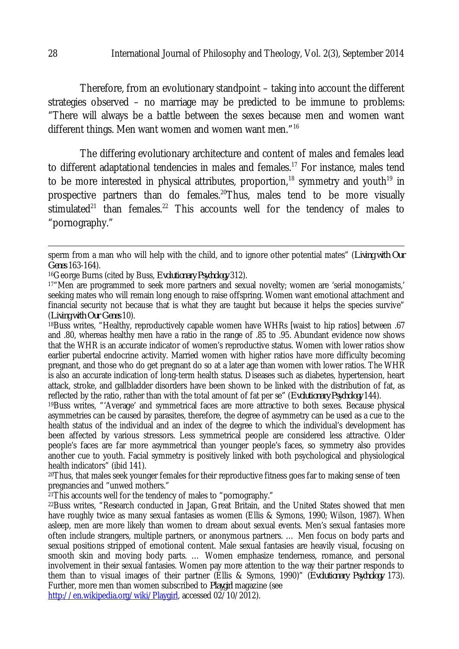Therefore, from an evolutionary standpoint – taking into account the different strategies observed – no marriage may be predicted to be immune to problems: "There will always be a battle between the sexes because men and women want different things. Men want women and women want men."<sup>16</sup>

The differing evolutionary architecture and content of males and females lead to different adaptational tendencies in males and females.<sup>17</sup> For instance, males tend to be more interested in physical attributes, proportion,<sup>18</sup> symmetry and youth<sup>19</sup> in prospective partners than do females.<sup>20</sup>Thus, males tend to be more visually stimulated $21$  than females.<sup>22</sup> This accounts well for the tendency of males to "pornography."

<sup>19</sup>Buss writes, "'Average' and symmetrical faces are more attractive to both sexes. Because physical asymmetries can be caused by parasites, therefore, the degree of asymmetry can be used as a cue to the health status of the individual and an index of the degree to which the individual's development has been affected by various stressors. Less symmetrical people are considered less attractive. Older people's faces are far more asymmetrical than younger people's faces, so symmetry also provides another cue to youth. Facial symmetry is positively linked with both psychological and physiological health indicators" (ibid 141).

<sup>20</sup>Thus, that males seek younger females for their reproductive fitness goes far to making sense of teen pregnancies and "unwed mothers."

<sup>21</sup>This accounts well for the tendency of males to "pornography."

<sup>22</sup>Buss writes, "Research conducted in Japan, Great Britain, and the United States showed that men have roughly twice as many sexual fantasies as women (Ellis & Symons, 1990; Wilson, 1987). When asleep, men are more likely than women to dream about sexual events. Men's sexual fantasies more often include strangers, multiple partners, or anonymous partners. … Men focus on body parts and sexual positions stripped of emotional content. Male sexual fantasies are heavily visual, focusing on smooth skin and moving body parts. … Women emphasize tenderness, romance, and personal involvement in their sexual fantasies. Women pay more attention to the way their partner responds to them than to visual images of their partner (Ellis & Symons, 1990)" (*Evolutionary Psychology* 173). Further, more men than women subscribed to *Playgirl* magazine (see http://en.wikipedia.org/wiki/Playgirl, accessed 02/10/2012).

 $\overline{\phantom{a}}$ sperm from a man who will help with the child, and to ignore other potential mates" (*Living with Our Genes* 163-164).

<sup>16</sup>George Burns (cited by Buss, *Evolutionary Psychology* 312).

<sup>17&</sup>quot;Men are programmed to seek more partners and sexual novelty; women are 'serial monogamists,' seeking mates who will remain long enough to raise offspring. Women want emotional attachment and financial security not because that is what they are taught but because it helps the species survive" (*Living with Our Genes* 10).

<sup>18</sup>Buss writes, "Healthy, reproductively capable women have WHRs [waist to hip ratios] between .67 and .80, whereas healthy men have a ratio in the range of .85 to .95. Abundant evidence now shows that the WHR is an accurate indicator of women's reproductive status. Women with lower ratios show earlier pubertal endocrine activity. Married women with higher ratios have more difficulty becoming pregnant, and those who do get pregnant do so at a later age than women with lower ratios. The WHR is also an accurate indication of long-term health status. Diseases such as diabetes, hypertension, heart attack, stroke, and gallbladder disorders have been shown to be linked with the distribution of fat, as reflected by the ratio, rather than with the total amount of fat per se" (*Evolutionary Psychology* 144).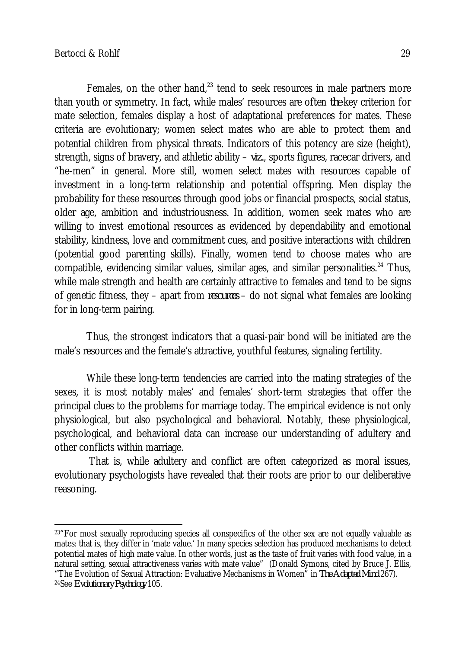Females, on the other hand, $^{23}$  tend to seek resources in male partners more than youth or symmetry. In fact, while males' resources are often *the* key criterion for mate selection, females display a host of adaptational preferences for mates. These criteria are evolutionary; women select mates who are able to protect them and potential children from physical threats. Indicators of this potency are size (height), strength, signs of bravery, and athletic ability – *viz.*, sports figures, racecar drivers, and "he-men" in general. More still, women select mates with resources capable of investment in a long-term relationship and potential offspring. Men display the probability for these resources through good jobs or financial prospects, social status, older age, ambition and industriousness. In addition, women seek mates who are willing to invest emotional resources as evidenced by dependability and emotional stability, kindness, love and commitment cues, and positive interactions with children (potential good parenting skills). Finally, women tend to choose mates who are compatible, evidencing similar values, similar ages, and similar personalities.<sup>24</sup> Thus, while male strength and health are certainly attractive to females and tend to be signs of genetic fitness, they – apart from *resources* – do not signal what females are looking for in long-term pairing.

Thus, the strongest indicators that a quasi-pair bond will be initiated are the male's resources and the female's attractive, youthful features, signaling fertility.

While these long-term tendencies are carried into the mating strategies of the sexes, it is most notably males' and females' short-term strategies that offer the principal clues to the problems for marriage today. The empirical evidence is not only physiological, but also psychological and behavioral. Notably, these physiological, psychological, and behavioral data can increase our understanding of adultery and other conflicts within marriage.

That is, while adultery and conflict are often categorized as moral issues, evolutionary psychologists have revealed that their roots are prior to our deliberative reasoning.

 $\overline{\phantom{a}}$ <sup>23</sup>"For most sexually reproducing species all conspecifics of the other sex are not equally valuable as mates: that is, they differ in 'mate value.' In many species selection has produced mechanisms to detect potential mates of high mate value. In other words, just as the taste of fruit varies with food value, in a natural setting, sexual attractiveness varies with mate value" (Donald Symons, cited by Bruce J. Ellis, "The Evolution of Sexual Attraction: Evaluative Mechanisms in Women" in *The Adapted Mind* 267).

<sup>24</sup>See *Evolutionary Psychology* 105.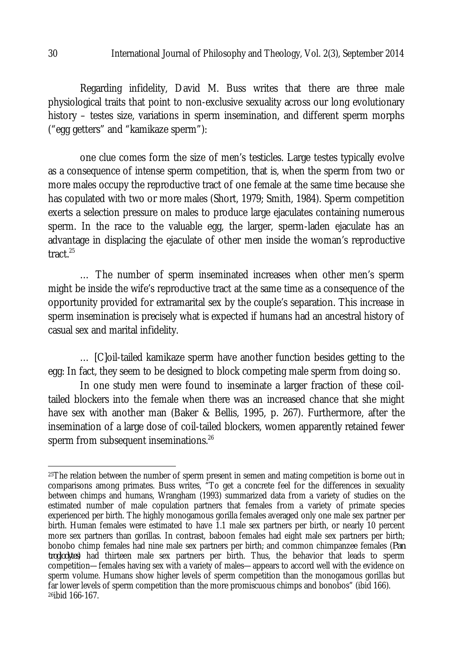Regarding infidelity, David M. Buss writes that there are three male physiological traits that point to non-exclusive sexuality across our long evolutionary history – testes size, variations in sperm insemination, and different sperm morphs ("egg getters" and "kamikaze sperm"):

one clue comes form the size of men's testicles. Large testes typically evolve as a consequence of intense sperm competition, that is, when the sperm from two or more males occupy the reproductive tract of one female at the same time because she has copulated with two or more males (Short, 1979; Smith, 1984). Sperm competition exerts a selection pressure on males to produce large ejaculates containing numerous sperm. In the race to the valuable egg, the larger, sperm-laden ejaculate has an advantage in displacing the ejaculate of other men inside the woman's reproductive tract $25$ 

… The number of sperm inseminated increases when other men's sperm might be inside the wife's reproductive tract at the same time as a consequence of the opportunity provided for extramarital sex by the couple's separation. This increase in sperm insemination is precisely what is expected if humans had an ancestral history of casual sex and marital infidelity.

… [C]oil-tailed kamikaze sperm have another function besides getting to the egg: In fact, they seem to be designed to block competing male sperm from doing so.

In one study men were found to inseminate a larger fraction of these coiltailed blockers into the female when there was an increased chance that she might have sex with another man (Baker & Bellis, 1995, p. 267). Furthermore, after the insemination of a large dose of coil-tailed blockers, women apparently retained fewer sperm from subsequent inseminations.<sup>26</sup>

 $\overline{a}$ <sup>25</sup>The relation between the number of sperm present in semen and mating competition is borne out in comparisons among primates. Buss writes, "To get a concrete feel for the differences in sexuality between chimps and humans, Wrangham (1993) summarized data from a variety of studies on the estimated number of male copulation partners that females from a variety of primate species experienced per birth. The highly monogamous gorilla females averaged only one male sex partner per birth. Human females were estimated to have 1.1 male sex partners per birth, or nearly 10 percent more sex partners than gorillas. In contrast, baboon females had eight male sex partners per birth; bonobo chimp females had nine male sex partners per birth; and common chimpanzee females (*Pan troglodytes*) had thirteen male sex partners per birth. Thus, the behavior that leads to sperm competition—females having sex with a variety of males—appears to accord well with the evidence on sperm volume. Humans show higher levels of sperm competition than the monogamous gorillas but far lower levels of sperm competition than the more promiscuous chimps and bonobos" (ibid 166). 26ibid 166-167.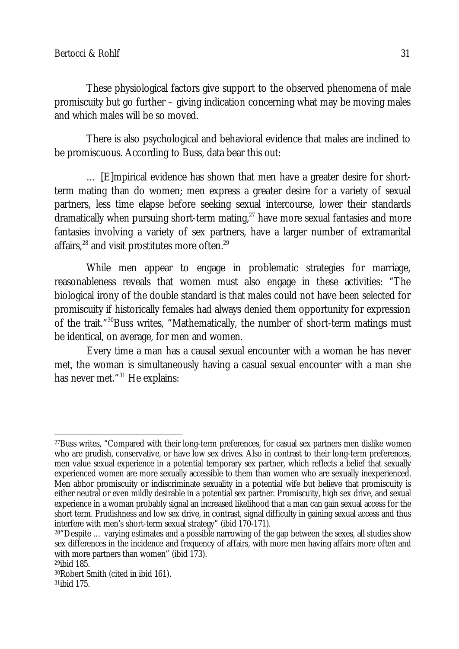These physiological factors give support to the observed phenomena of male promiscuity but go further – giving indication concerning what may be moving males and which males will be so moved.

There is also psychological and behavioral evidence that males are inclined to be promiscuous. According to Buss, data bear this out:

… [E]mpirical evidence has shown that men have a greater desire for shortterm mating than do women; men express a greater desire for a variety of sexual partners, less time elapse before seeking sexual intercourse, lower their standards dramatically when pursuing short-term mating, $^{27}$  have more sexual fantasies and more fantasies involving a variety of sex partners, have a larger number of extramarital affairs,<sup>28</sup> and visit prostitutes more often.<sup>29</sup>

While men appear to engage in problematic strategies for marriage, reasonableness reveals that women must also engage in these activities: "The biological irony of the double standard is that males could not have been selected for promiscuity if historically females had always denied them opportunity for expression of the trait."<sup>30</sup>Buss writes, "Mathematically, the number of short-term matings must be identical, on average, for men and women.

Every time a man has a causal sexual encounter with a woman he has never met, the woman is simultaneously having a casual sexual encounter with a man she has never met.<sup>"31</sup> He explains:

 $\overline{a}$ <sup>27</sup>Buss writes, "Compared with their long-term preferences, for casual sex partners men dislike women who are prudish, conservative, or have low sex drives. Also in contrast to their long-term preferences, men value sexual experience in a potential temporary sex partner, which reflects a belief that sexually experienced women are more sexually accessible to them than women who are sexually inexperienced. Men abhor promiscuity or indiscriminate sexuality in a potential wife but believe that promiscuity is either neutral or even mildly desirable in a potential sex partner. Promiscuity, high sex drive, and sexual experience in a woman probably signal an increased likelihood that a man can gain sexual access for the short term. Prudishness and low sex drive, in contrast, signal difficulty in gaining sexual access and thus interfere with men's short-term sexual strategy" (ibid 170-171).

<sup>28</sup>"Despite … varying estimates and a possible narrowing of the gap between the sexes, all studies show sex differences in the incidence and frequency of affairs, with more men having affairs more often and with more partners than women" (ibid 173).

<sup>29</sup>ibid 185.

<sup>30</sup>Robert Smith (cited in ibid 161).

<sup>31</sup>ibid 175.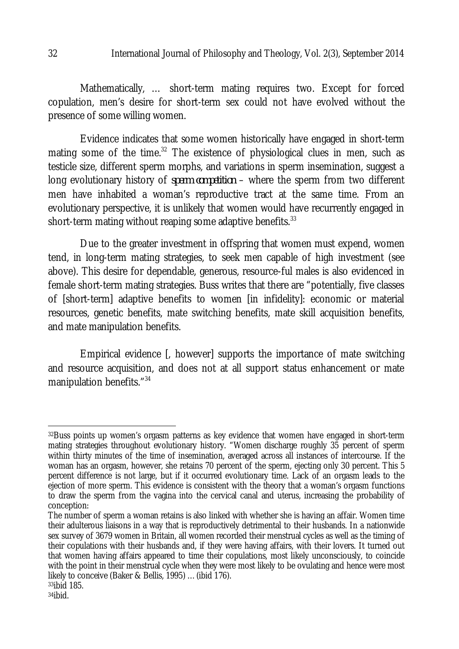Mathematically, … short-term mating requires two. Except for forced copulation, men's desire for short-term sex could not have evolved without the presence of some willing women.

Evidence indicates that some women historically have engaged in short-term mating some of the time.<sup>32</sup> The existence of physiological clues in men, such as testicle size, different sperm morphs, and variations in sperm insemination, suggest a long evolutionary history of *sperm competition* – where the sperm from two different men have inhabited a woman's reproductive tract at the same time. From an evolutionary perspective, it is unlikely that women would have recurrently engaged in short-term mating without reaping some adaptive benefits. $33$ 

Due to the greater investment in offspring that women must expend, women tend, in long-term mating strategies, to seek men capable of high investment (see above). This desire for dependable, generous, resource-ful males is also evidenced in female short-term mating strategies. Buss writes that there are "potentially, five classes of [short-term] adaptive benefits to women [in infidelity]: economic or material resources, genetic benefits, mate switching benefits, mate skill acquisition benefits, and mate manipulation benefits.

Empirical evidence [, however] supports the importance of mate switching and resource acquisition, and does not at all support status enhancement or mate manipulation benefits."<sup>34</sup>

 $\overline{a}$  $32$ Buss points up women's orgasm patterns as key evidence that women have engaged in short-term mating strategies throughout evolutionary history. "Women discharge roughly 35 percent of sperm within thirty minutes of the time of insemination, averaged across all instances of intercourse. If the woman has an orgasm, however, she retains 70 percent of the sperm, ejecting only 30 percent. This 5 percent difference is not large, but if it occurred evolutionary time. Lack of an orgasm leads to the ejection of more sperm. This evidence is consistent with the theory that a woman's orgasm functions to draw the sperm from the vagina into the cervical canal and uterus, increasing the probability of conception:

The number of sperm a woman retains is also linked with whether she is having an affair. Women time their adulterous liaisons in a way that is reproductively detrimental to their husbands. In a nationwide sex survey of 3679 women in Britain, all women recorded their menstrual cycles as well as the timing of their copulations with their husbands and, if they were having affairs, with their lovers. It turned out that women having affairs appeared to time their copulations, most likely unconsciously, to coincide with the point in their menstrual cycle when they were most likely to be ovulating and hence were most likely to conceive (Baker & Bellis, 1995) …(ibid 176). <sup>33</sup>ibid 185.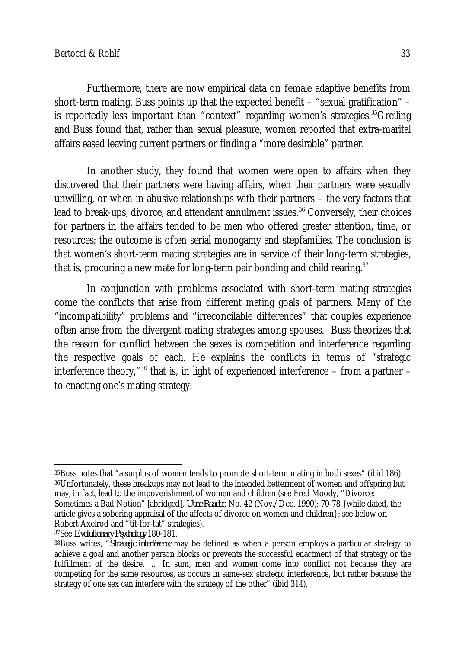Furthermore, there are now empirical data on female adaptive benefits from short-term mating. Buss points up that the expected benefit – "sexual gratification" – is reportedly less important than "context" regarding women's strategies.<sup>35</sup>Greiling and Buss found that, rather than sexual pleasure, women reported that extra-marital affairs eased leaving current partners or finding a "more desirable" partner.

In another study, they found that women were open to affairs when they discovered that their partners were having affairs, when their partners were sexually unwilling, or when in abusive relationships with their partners – the very factors that lead to break-ups, divorce, and attendant annulment issues.<sup>36</sup> Conversely, their choices for partners in the affairs tended to be men who offered greater attention, time, or resources; the outcome is often serial monogamy and stepfamilies. The conclusion is that women's short-term mating strategies are in service of their long-term strategies, that is, procuring a new mate for long-term pair bonding and child rearing.<sup>37</sup>

In conjunction with problems associated with short-term mating strategies come the conflicts that arise from different mating goals of partners. Many of the "incompatibility" problems and "irreconcilable differences" that couples experience often arise from the divergent mating strategies among spouses. Buss theorizes that the reason for conflict between the sexes is competition and interference regarding the respective goals of each. He explains the conflicts in terms of "strategic interference theory,"<sup>38</sup> that is, in light of experienced interference – from a partner – to enacting one's mating strategy:

 $\overline{\phantom{a}}$ <sup>35</sup>Buss notes that "a surplus of women tends to promote short-term mating in both sexes" (ibid 186). <sup>36</sup>Unfortunately, these breakups may not lead to the intended betterment of women and offspring but may, in fact, lead to the impoverishment of women and children (see Fred Moody, "Divorce: Sometimes a Bad Notion" [abridged], *Utne Reader*, No. 42 (Nov./Dec. 1990): 70-78 {while dated, the article gives a sobering appraisal of the affects of divorce on women and children}; see below on Robert Axelrod and "tit-for-tat" strategies).

<sup>37</sup>See *Evolutionary Psychology* 180-181.

<sup>38</sup>Buss writes, "*Strategic interference* may be defined as when a person employs a particular strategy to achieve a goal and another person blocks or prevents the successful enactment of that strategy or the fulfillment of the desire. … In sum, men and women come into conflict not because they are competing for the same resources, as occurs in same-sex strategic interference, but rather because the strategy of one sex can interfere with the strategy of the other" (ibid 314).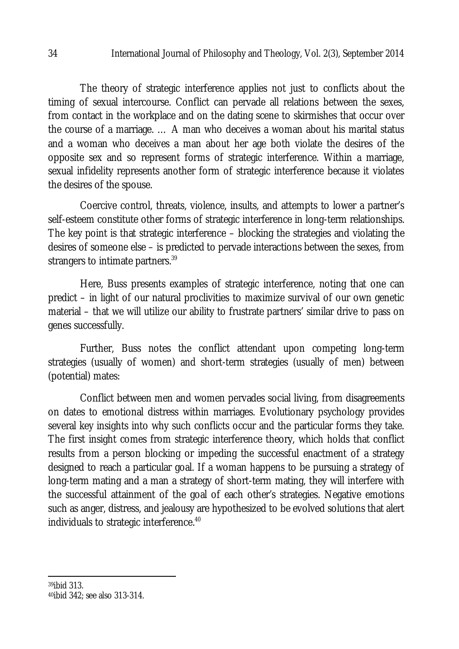The theory of strategic interference applies not just to conflicts about the timing of sexual intercourse. Conflict can pervade all relations between the sexes, from contact in the workplace and on the dating scene to skirmishes that occur over the course of a marriage. … A man who deceives a woman about his marital status and a woman who deceives a man about her age both violate the desires of the opposite sex and so represent forms of strategic interference. Within a marriage, sexual infidelity represents another form of strategic interference because it violates the desires of the spouse.

Coercive control, threats, violence, insults, and attempts to lower a partner's self-esteem constitute other forms of strategic interference in long-term relationships. The key point is that strategic interference – blocking the strategies and violating the desires of someone else – is predicted to pervade interactions between the sexes, from strangers to intimate partners.<sup>39</sup>

Here, Buss presents examples of strategic interference, noting that one can predict – in light of our natural proclivities to maximize survival of our own genetic material – that we will utilize our ability to frustrate partners' similar drive to pass on genes successfully.

Further, Buss notes the conflict attendant upon competing long-term strategies (usually of women) and short-term strategies (usually of men) between (potential) mates:

Conflict between men and women pervades social living, from disagreements on dates to emotional distress within marriages. Evolutionary psychology provides several key insights into why such conflicts occur and the particular forms they take. The first insight comes from strategic interference theory, which holds that conflict results from a person blocking or impeding the successful enactment of a strategy designed to reach a particular goal. If a woman happens to be pursuing a strategy of long-term mating and a man a strategy of short-term mating, they will interfere with the successful attainment of the goal of each other's strategies. Negative emotions such as anger, distress, and jealousy are hypothesized to be evolved solutions that alert individuals to strategic interference.<sup>40</sup>

 $\overline{a}$ 

<sup>39</sup>ibid 313. 40ibid 342; see also 313-314.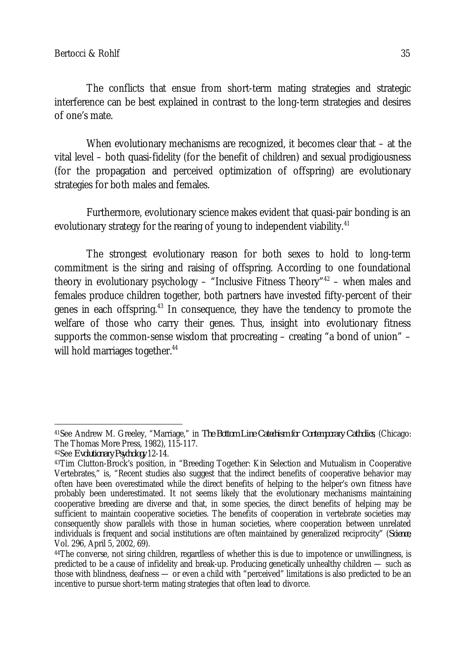The conflicts that ensue from short-term mating strategies and strategic interference can be best explained in contrast to the long-term strategies and desires of one's mate.

When evolutionary mechanisms are recognized, it becomes clear that – at the vital level – both quasi-fidelity (for the benefit of children) and sexual prodigiousness (for the propagation and perceived optimization of offspring) are evolutionary strategies for both males and females.

Furthermore, evolutionary science makes evident that quasi-pair bonding is an evolutionary strategy for the rearing of young to independent viability.<sup>41</sup>

The strongest evolutionary reason for both sexes to hold to long-term commitment is the siring and raising of offspring. According to one foundational theory in evolutionary psychology – "Inclusive Fitness Theory"<sup>42</sup> – when males and females produce children together, both partners have invested fifty-percent of their genes in each offspring.<sup>43</sup> In consequence, they have the tendency to promote the welfare of those who carry their genes. Thus, insight into evolutionary fitness supports the common-sense wisdom that procreating – creating "a bond of union" – will hold marriages together.<sup>44</sup>

 $\overline{a}$ 

<sup>41</sup>See Andrew M. Greeley, "Marriage," in *The Bottom Line Catechism for Contemporary Catholics*, (Chicago: The Thomas More Press, 1982), 115-117.

<sup>42</sup>See *Evolutionary Psychology* 12-14.

<sup>43</sup>Tim Clutton-Brock's position, in "Breeding Together: Kin Selection and Mutualism in Cooperative Vertebrates," is, "Recent studies also suggest that the indirect benefits of cooperative behavior may often have been overestimated while the direct benefits of helping to the helper's own fitness have probably been underestimated. It not seems likely that the evolutionary mechanisms maintaining cooperative breeding are diverse and that, in some species, the direct benefits of helping may be sufficient to maintain cooperative societies. The benefits of cooperation in vertebrate societies may consequently show parallels with those in human societies, where cooperation between unrelated individuals is frequent and social institutions are often maintained by generalized reciprocity" (*Science*, Vol. 296, April 5, 2002, 69).

<sup>44</sup>The converse, not siring children, regardless of whether this is due to impotence or unwillingness, is predicted to be a cause of infidelity and break-up. Producing genetically unhealthy children — such as those with blindness, deafness — or even a child with "perceived" limitations is also predicted to be an incentive to pursue short-term mating strategies that often lead to divorce.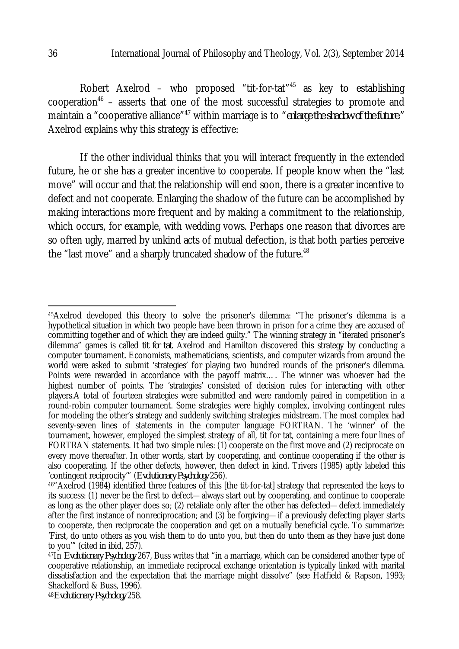Robert Axelrod – who proposed "tit-for-tat"<sup>45</sup> as key to establishing cooperation<sup>46</sup> – asserts that one of the most successful strategies to promote and maintain a "cooperative alliance"<sup>47</sup> within marriage is to "*enlarge the shadow of the future*." Axelrod explains why this strategy is effective:

If the other individual thinks that you will interact frequently in the extended future, he or she has a greater incentive to cooperate. If people know when the "last move" will occur and that the relationship will end soon, there is a greater incentive to defect and not cooperate. Enlarging the shadow of the future can be accomplished by making interactions more frequent and by making a commitment to the relationship, which occurs, for example, with wedding vows. Perhaps one reason that divorces are so often ugly, marred by unkind acts of mutual defection, is that both parties perceive the "last move" and a sharply truncated shadow of the future.<sup>48</sup>

<sup>48</sup>*Evolutionary Psychology* 258.

 $\overline{a}$ <sup>45</sup>Axelrod developed this theory to solve the prisoner's dilemma: "The prisoner's dilemma is a hypothetical situation in which two people have been thrown in prison for a crime they are accused of committing together and of which they are indeed guilty." The winning strategy in "iterated prisoner's dilemma" games is called *tit for tat*. Axelrod and Hamilton discovered this strategy by conducting a computer tournament. Economists, mathematicians, scientists, and computer wizards from around the world were asked to submit 'strategies' for playing two hundred rounds of the prisoner's dilemma. Points were rewarded in accordance with the payoff matrix…. The winner was whoever had the highest number of points. The 'strategies' consisted of decision rules for interacting with other players.A total of fourteen strategies were submitted and were randomly paired in competition in a round-robin computer tournament. Some strategies were highly complex, involving contingent rules for modeling the other's strategy and suddenly switching strategies midstream. The most complex had seventy-seven lines of statements in the computer language FORTRAN. The 'winner' of the tournament, however, employed the simplest strategy of all, tit for tat, containing a mere four lines of FORTRAN statements. It had two simple rules: (1) cooperate on the first move and (2) reciprocate on every move thereafter. In other words, start by cooperating, and continue cooperating if the other is also cooperating. If the other defects, however, then defect in kind. Trivers (1985) aptly labeled this 'contingent reciprocity'" (*Evolutionary Psychology* 256).

<sup>46</sup>"Axelrod (1984) identified three features of this [the tit-for-tat] strategy that represented the keys to its success: (1) never be the first to defect—always start out by cooperating, and continue to cooperate as long as the other player does so; (2) retaliate only after the other has defected—defect immediately after the first instance of nonreciprocation; and (3) be forgiving—if a previously defecting player starts to cooperate, then reciprocate the cooperation and get on a mutually beneficial cycle. To summarize: 'First, do unto others as you wish them to do unto you, but then do unto them as they have just done to you'" (cited in ibid, 257).

<sup>47</sup>In *Evolutionary Psychology* 267, Buss writes that "in a marriage, which can be considered another type of cooperative relationship, an immediate reciprocal exchange orientation is typically linked with marital dissatisfaction and the expectation that the marriage might dissolve" (see Hatfield & Rapson, 1993; Shackelford & Buss, 1996).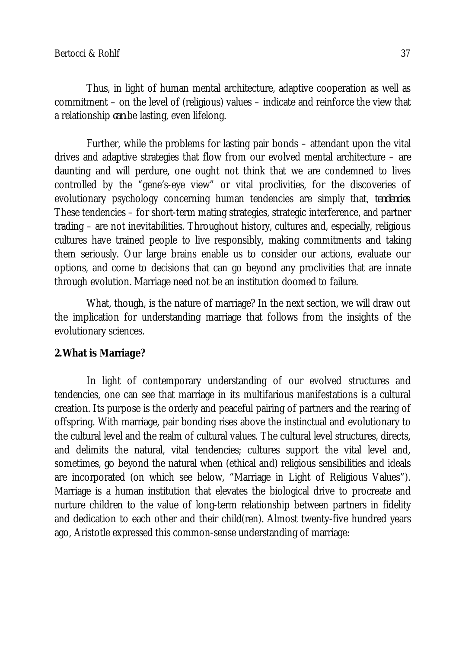Thus, in light of human mental architecture, adaptive cooperation as well as commitment – on the level of (religious) values – indicate and reinforce the view that a relationship *can* be lasting, even lifelong.

Further, while the problems for lasting pair bonds – attendant upon the vital drives and adaptive strategies that flow from our evolved mental architecture – are daunting and will perdure, one ought not think that we are condemned to lives controlled by the "gene's-eye view" or vital proclivities, for the discoveries of evolutionary psychology concerning human tendencies are simply that, *tendencies*. These tendencies – for short-term mating strategies, strategic interference, and partner trading – are not inevitabilities. Throughout history, cultures and, especially, religious cultures have trained people to live responsibly, making commitments and taking them seriously. Our large brains enable us to consider our actions, evaluate our options, and come to decisions that can go beyond any proclivities that are innate through evolution. Marriage need not be an institution doomed to failure.

What, though, is the nature of marriage? In the next section, we will draw out the implication for understanding marriage that follows from the insights of the evolutionary sciences.

#### **2.What is Marriage?**

In light of contemporary understanding of our evolved structures and tendencies, one can see that marriage in its multifarious manifestations is a cultural creation. Its purpose is the orderly and peaceful pairing of partners and the rearing of offspring. With marriage, pair bonding rises above the instinctual and evolutionary to the cultural level and the realm of cultural values. The cultural level structures, directs, and delimits the natural, vital tendencies; cultures support the vital level and, sometimes, go beyond the natural when (ethical and) religious sensibilities and ideals are incorporated (on which see below, "Marriage in Light of Religious Values"). Marriage is a human institution that elevates the biological drive to procreate and nurture children to the value of long-term relationship between partners in fidelity and dedication to each other and their child(ren). Almost twenty-five hundred years ago, Aristotle expressed this common-sense understanding of marriage: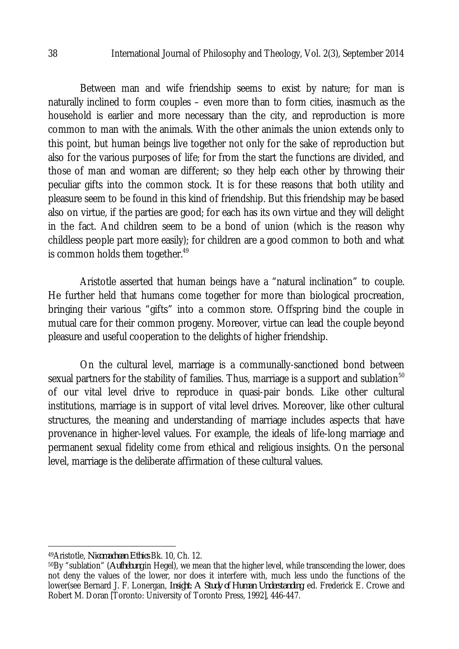Between man and wife friendship seems to exist by nature; for man is naturally inclined to form couples – even more than to form cities, inasmuch as the household is earlier and more necessary than the city, and reproduction is more common to man with the animals. With the other animals the union extends only to this point, but human beings live together not only for the sake of reproduction but also for the various purposes of life; for from the start the functions are divided, and those of man and woman are different; so they help each other by throwing their peculiar gifts into the common stock. It is for these reasons that both utility and pleasure seem to be found in this kind of friendship. But this friendship may be based also on virtue, if the parties are good; for each has its own virtue and they will delight in the fact. And children seem to be a bond of union (which is the reason why childless people part more easily); for children are a good common to both and what is common holds them together.<sup>49</sup>

Aristotle asserted that human beings have a "natural inclination" to couple. He further held that humans come together for more than biological procreation, bringing their various "gifts" into a common store. Offspring bind the couple in mutual care for their common progeny. Moreover, virtue can lead the couple beyond pleasure and useful cooperation to the delights of higher friendship.

On the cultural level, marriage is a communally-sanctioned bond between sexual partners for the stability of families. Thus, marriage is a support and sublation<sup>50</sup> of our vital level drive to reproduce in quasi-pair bonds. Like other cultural institutions, marriage is in support of vital level drives. Moreover, like other cultural structures, the meaning and understanding of marriage includes aspects that have provenance in higher-level values. For example, the ideals of life-long marriage and permanent sexual fidelity come from ethical and religious insights. On the personal level, marriage is the deliberate affirmation of these cultural values.

 $\overline{a}$ <sup>49</sup>Aristotle, *Nicomachean Ethics* Bk. 10, Ch. 12.

<sup>50</sup>By "sublation" (*Aufhebung* in Hegel), we mean that the higher level, while transcending the lower, does not deny the values of the lower, nor does it interfere with, much less undo the functions of the lower(see Bernard J. F. Lonergan, *Insight: A Study of Human Understanding*, ed. Frederick E. Crowe and Robert M. Doran [Toronto: University of Toronto Press, 1992], 446-447.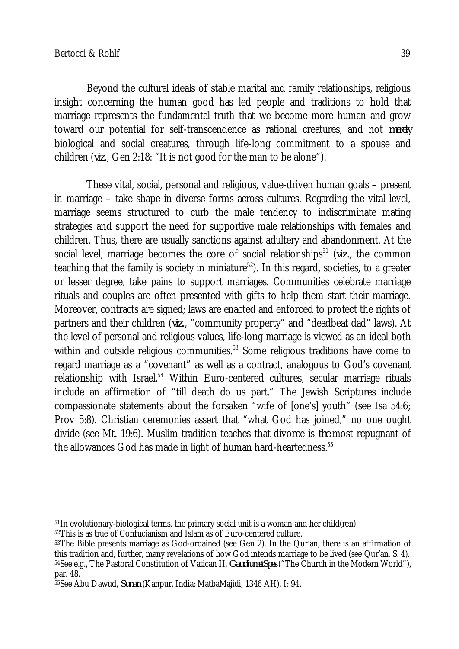Beyond the cultural ideals of stable marital and family relationships, religious insight concerning the human good has led people and traditions to hold that marriage represents the fundamental truth that we become more human and grow toward our potential for self-transcendence as rational creatures, and not *merely* biological and social creatures, through life-long commitment to a spouse and children (*viz*., Gen 2:18: "It is not good for the man to be alone").

These vital, social, personal and religious, value-driven human goals – present in marriage – take shape in diverse forms across cultures. Regarding the vital level, marriage seems structured to curb the male tendency to indiscriminate mating strategies and support the need for supportive male relationships with females and children. Thus, there are usually sanctions against adultery and abandonment. At the social level, marriage becomes the core of social relationships<sup>51</sup> (*viz.*, the common teaching that the family is society in miniature<sup>52</sup>). In this regard, societies, to a greater or lesser degree, take pains to support marriages. Communities celebrate marriage rituals and couples are often presented with gifts to help them start their marriage. Moreover, contracts are signed; laws are enacted and enforced to protect the rights of partners and their children (*viz*., "community property" and "deadbeat dad" laws). At the level of personal and religious values, life-long marriage is viewed as an ideal both within and outside religious communities.<sup>53</sup> Some religious traditions have come to regard marriage as a "covenant" as well as a contract, analogous to God's covenant relationship with Israel.<sup>54</sup> Within Euro-centered cultures, secular marriage rituals include an affirmation of "till death do us part." The Jewish Scriptures include compassionate statements about the forsaken "wife of [one's] youth" (see Isa 54:6; Prov 5:8). Christian ceremonies assert that "what God has joined," no one ought divide (see Mt. 19:6). Muslim tradition teaches that divorce is *the* most repugnant of the allowances God has made in light of human hard-heartedness.<sup>55</sup>

 $\overline{a}$ <sup>51</sup>In evolutionary-biological terms, the primary social unit is a woman and her child(ren).

<sup>52</sup>This is as true of Confucianism and Islam as of Euro-centered culture.

<sup>53</sup>The Bible presents marriage as God-ordained (see Gen 2). In the Qur'an, there is an affirmation of this tradition and, further, many revelations of how God intends marriage to be lived (see Qur'an, S. 4). <sup>54</sup>See e.g., The Pastoral Constitution of Vatican II, *GaudiumetSpes* ("The Church in the Modern World"), par. 48.

<sup>55</sup>See Abu Dawud, *Sunan* (Kanpur, India: MatbaMajidi, 1346 AH), I: 94.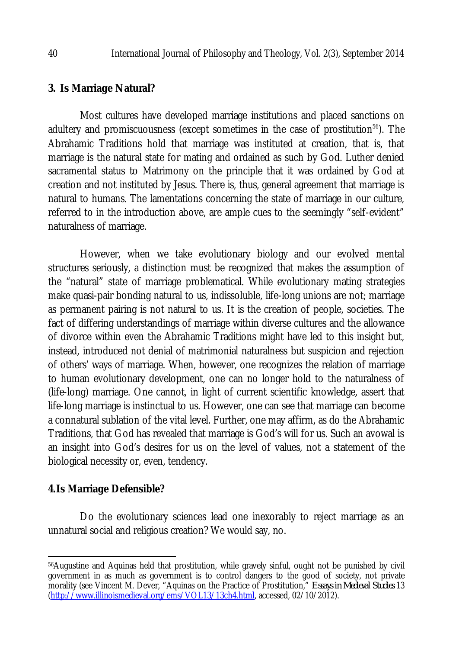### **3. Is Marriage Natural?**

Most cultures have developed marriage institutions and placed sanctions on adultery and promiscuousness (except sometimes in the case of prostitution<sup>56</sup>). The Abrahamic Traditions hold that marriage was instituted at creation, that is, that marriage is the natural state for mating and ordained as such by God. Luther denied sacramental status to Matrimony on the principle that it was ordained by God at creation and not instituted by Jesus. There is, thus, general agreement that marriage is natural to humans. The lamentations concerning the state of marriage in our culture, referred to in the introduction above, are ample cues to the seemingly "self-evident" naturalness of marriage.

However, when we take evolutionary biology and our evolved mental structures seriously, a distinction must be recognized that makes the assumption of the "natural" state of marriage problematical. While evolutionary mating strategies make quasi-pair bonding natural to us, indissoluble, life-long unions are not; marriage as permanent pairing is not natural to us. It is the creation of people, societies. The fact of differing understandings of marriage within diverse cultures and the allowance of divorce within even the Abrahamic Traditions might have led to this insight but, instead, introduced not denial of matrimonial naturalness but suspicion and rejection of others' ways of marriage. When, however, one recognizes the relation of marriage to human evolutionary development, one can no longer hold to the naturalness of (life-long) marriage. One cannot, in light of current scientific knowledge, assert that life-long marriage is instinctual to us. However, one can see that marriage can become a connatural sublation of the vital level. Further, one may affirm, as do the Abrahamic Traditions, that God has revealed that marriage is God's will for us. Such an avowal is an insight into God's desires for us on the level of values, not a statement of the biological necessity or, even, tendency.

#### **4.Is Marriage Defensible?**

Do the evolutionary sciences lead one inexorably to reject marriage as an unnatural social and religious creation? We would say, no.

 $\overline{\phantom{a}}$ <sup>56</sup>Augustine and Aquinas held that prostitution, while gravely sinful, ought not be punished by civil government in as much as government is to control dangers to the good of society, not private morality (see Vincent M. Dever, "Aquinas on the Practice of Prostitution," *Essays in Medieval Studies* 13 (http://www.illinoismedieval.org/ems/VOL13/13ch4.html, accessed, 02/10/2012).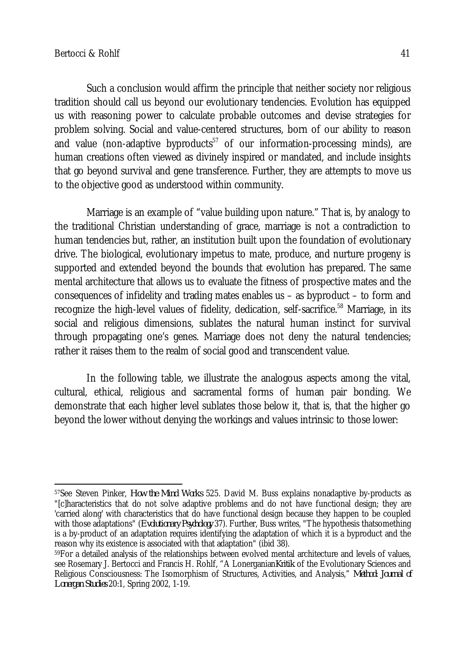Such a conclusion would affirm the principle that neither society nor religious tradition should call us beyond our evolutionary tendencies. Evolution has equipped us with reasoning power to calculate probable outcomes and devise strategies for problem solving. Social and value-centered structures, born of our ability to reason and value (non-adaptive byproducts<sup>57</sup> of our information-processing minds), are human creations often viewed as divinely inspired or mandated, and include insights that go beyond survival and gene transference. Further, they are attempts to move us to the objective good as understood within community.

Marriage is an example of "value building upon nature." That is, by analogy to the traditional Christian understanding of grace, marriage is not a contradiction to human tendencies but, rather, an institution built upon the foundation of evolutionary drive. The biological, evolutionary impetus to mate, produce, and nurture progeny is supported and extended beyond the bounds that evolution has prepared. The same mental architecture that allows us to evaluate the fitness of prospective mates and the consequences of infidelity and trading mates enables us – as byproduct – to form and recognize the high-level values of fidelity, dedication, self-sacrifice.<sup>58</sup> Marriage, in its social and religious dimensions, sublates the natural human instinct for survival through propagating one's genes. Marriage does not deny the natural tendencies; rather it raises them to the realm of social good and transcendent value.

In the following table, we illustrate the analogous aspects among the vital, cultural, ethical, religious and sacramental forms of human pair bonding. We demonstrate that each higher level sublates those below it, that is, that the higher go beyond the lower without denying the workings and values intrinsic to those lower:

 $\overline{a}$ <sup>57</sup>See Steven Pinker, *How the Mind Works* 525. David M. Buss explains nonadaptive by-products as "[c]haracteristics that do not solve adaptive problems and do not have functional design; they are 'carried along' with characteristics that do have functional design because they happen to be coupled with those adaptations" (*Evolutionary Psychology* 37). Further, Buss writes, "The hypothesis thatsomething is a by-product of an adaptation requires identifying the adaptation of which it is a byproduct and the reason why its existence is associated with that adaptation" (ibid 38).

<sup>59</sup>For a detailed analysis of the relationships between evolved mental architecture and levels of values, see Rosemary J. Bertocci and Francis H. Rohlf, "A Lonerganian*Kritik* of the Evolutionary Sciences and Religious Consciousness: The Isomorphism of Structures, Activities, and Analysis," *Method: Journal of Lonergan Studies* 20:1, Spring 2002, 1-19.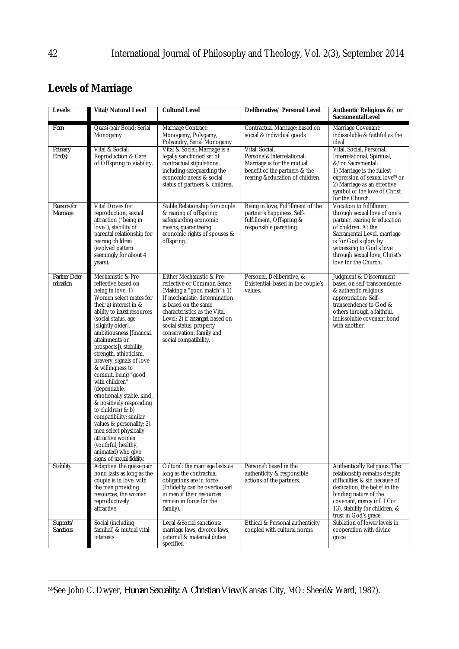# **Levels of Marriage**

| Levels                        | Vital/Natural Level                                                                                                                                                                                                                                                                                                                                                                                                                                                                                                                                                                                                                                                 | <b>Cultural Level</b>                                                                                                                                                                                                                                                                              | Deliberative/ Personal Level                                                                                                                    | Authentic Religious &/ or<br>SacramentalLevel                                                                                                                                                                                                               |
|-------------------------------|---------------------------------------------------------------------------------------------------------------------------------------------------------------------------------------------------------------------------------------------------------------------------------------------------------------------------------------------------------------------------------------------------------------------------------------------------------------------------------------------------------------------------------------------------------------------------------------------------------------------------------------------------------------------|----------------------------------------------------------------------------------------------------------------------------------------------------------------------------------------------------------------------------------------------------------------------------------------------------|-------------------------------------------------------------------------------------------------------------------------------------------------|-------------------------------------------------------------------------------------------------------------------------------------------------------------------------------------------------------------------------------------------------------------|
| Form                          | Quasi-pair Bond: Serial<br>Monogamy                                                                                                                                                                                                                                                                                                                                                                                                                                                                                                                                                                                                                                 | Marriage Contract:<br>Monogamy, Polygamy,<br>Polyandry, Serial Monogamy                                                                                                                                                                                                                            | Contractual Marriage: based on<br>social & individual goods                                                                                     | Marriage Covenant:<br>indissoluble & faithful as the<br>ideal                                                                                                                                                                                               |
| Primary<br>End(s)             | Vital & Social:<br>Reproduction & Care<br>of Offspring to viability.                                                                                                                                                                                                                                                                                                                                                                                                                                                                                                                                                                                                | Vital & Social: Marriage is a<br>legally sanctioned set of<br>contractual stipulations,<br>including safeguarding the<br>economic needs & social<br>status of partners & children.                                                                                                                 | Vital, Social,<br>Personal & Interrelational:<br>Marriage is for the mutual<br>benefit of the partners & the<br>rearing &education of children. | Vital, Social, Personal,<br>Interrelational, Spiritual,<br>&/or Sacramental:<br>1) Marriage is the fullest<br>expression of sexual love <sup>59</sup> or<br>2) Marriage as an effective<br>symbol of the love of Christ<br>for the Church.                  |
| Reasons for<br>Marriage       | <b>Vital Drives for</b><br>reproduction, sexual<br>attraction ("being in<br>love"), stability of<br>parental relationship for<br>rearing children<br>(evolved pattern<br>seemingly for about 4<br>years).                                                                                                                                                                                                                                                                                                                                                                                                                                                           | Stable Relationship for couple<br>& rearing of offspring;<br>safequarding economic<br>means; quaranteeing<br>economic rights of spouses &<br>offspring.                                                                                                                                            | Being in love, Fulfillment of the<br>partner's happiness, Self-<br>fulfillment, Offspring &<br>responsible parenting.                           | Vocation to fulfillment<br>through sexual love of one's<br>partner, rearing & education<br>of children. At the<br>Sacramental Level, marriage<br>is for God's glory by<br>witnessing to God's love<br>through sexual love, Christ's<br>love for the Church. |
| Partner Deter-<br>mination    | Mechanistic & Pre-<br>reflective based on<br>being in love: 1)<br>Women select mates for<br>their a) interest in &<br>ability to invest resources<br>(social status, age<br>[slightly older],<br>ambitiousness [financial<br>attainments or<br>prospects]), stability,<br>strength, athleticism,<br>bravery, signals of love<br>& willingness to<br>commit, being "good<br>with children"<br>(dependable,<br>emotionally stable, kind,<br>& positively responding<br>to children) & b)<br>compatibility: similar<br>values & personality; 2)<br>men select physically<br>attractive women<br>(youthful, healthy,<br>animated) who give<br>signs of sexual fidelity. | Either Mechanistic & Pre-<br>reflective or Common Sense<br>(Making a "good match"): 1)<br>If mechanistic, determination<br>is based on the same<br>characteristics as the Vital<br>Level; 2) if arranged, based on<br>social status, property<br>conservation, family and<br>social compatibility. | Personal, Deliberative, &<br>Existential: based in the couple's<br>values.                                                                      | Judgment & Discernment<br>based on self-transcendence<br>& authentic religious<br>appropriation: Self-<br>transcendence to God &<br>others through a faithful,<br>indissoluble covenant bond<br>with another.                                               |
| <b>Stability</b>              | Adaptive: the quasi-pair<br>bond lasts as long as the<br>couple is in love, with<br>the man providing<br>resources, the woman<br>reproductively<br>attractive.                                                                                                                                                                                                                                                                                                                                                                                                                                                                                                      | Cultural: the marriage lasts as<br>long as the contractual<br>obligations are in force<br>(Infidelity can be overlooked<br>in men if their resources<br>remain in force for the<br>family).                                                                                                        | Personal: based in the<br>authenticity & responsible<br>actions of the partners.                                                                | Authentically Religious: The<br>relationship remains despite<br>difficulties & sin because of<br>dedication, the belief in the<br>binding nature of the<br>covenant, mercy (cf. I Cor.<br>13), stability for children, &<br>trust in God's grace.           |
| Supports/<br><b>Sanctions</b> | Social (including<br>familial) & mutual vital<br>interests                                                                                                                                                                                                                                                                                                                                                                                                                                                                                                                                                                                                          | Legal & Social sanctions:<br>marriage laws, divorce laws,<br>paternal & maternal duties<br>specified                                                                                                                                                                                               | Ethical & Personal authenticity<br>coupled with cultural norms                                                                                  | Sublation of lower levels in<br>cooperation with divine<br>grace                                                                                                                                                                                            |

 $\overline{a}$ <sup>59</sup>See John C. Dwyer, *Human Sexuality: A Christian View* (Kansas City, MO: Sheed& Ward, 1987).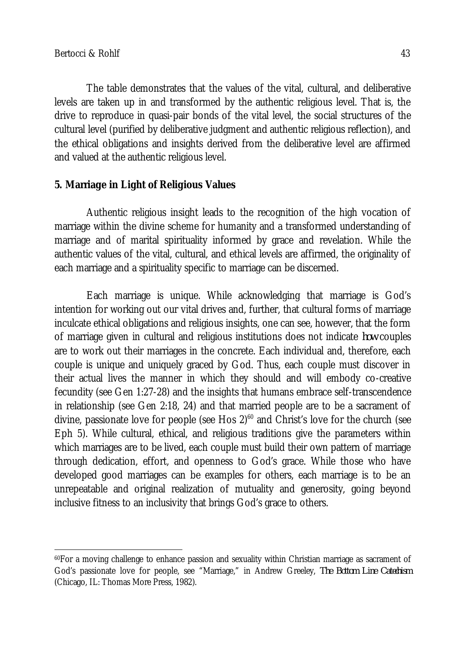The table demonstrates that the values of the vital, cultural, and deliberative levels are taken up in and transformed by the authentic religious level. That is, the drive to reproduce in quasi-pair bonds of the vital level, the social structures of the cultural level (purified by deliberative judgment and authentic religious reflection), and the ethical obligations and insights derived from the deliberative level are affirmed and valued at the authentic religious level.

## **5. Marriage in Light of Religious Values**

Authentic religious insight leads to the recognition of the high vocation of marriage within the divine scheme for humanity and a transformed understanding of marriage and of marital spirituality informed by grace and revelation. While the authentic values of the vital, cultural, and ethical levels are affirmed, the originality of each marriage and a spirituality specific to marriage can be discerned.

Each marriage is unique. While acknowledging that marriage is God's intention for working out our vital drives and, further, that cultural forms of marriage inculcate ethical obligations and religious insights, one can see, however, that the form of marriage given in cultural and religious institutions does not indicate *how* couples are to work out their marriages in the concrete. Each individual and, therefore, each couple is unique and uniquely graced by God. Thus, each couple must discover in their actual lives the manner in which they should and will embody co-creative fecundity (see Gen 1:27-28) and the insights that humans embrace self-transcendence in relationship (see Gen 2:18, 24) and that married people are to be a sacrament of divine, passionate love for people (see Hos  $2$ )<sup>60</sup> and Christ's love for the church (see Eph 5). While cultural, ethical, and religious traditions give the parameters within which marriages are to be lived, each couple must build their own pattern of marriage through dedication, effort, and openness to God's grace. While those who have developed good marriages can be examples for others, each marriage is to be an unrepeatable and original realization of mutuality and generosity, going beyond inclusive fitness to an inclusivity that brings God's grace to others.

 $\overline{\phantom{a}}$ <sup>60</sup>For a moving challenge to enhance passion and sexuality within Christian marriage as sacrament of God's passionate love for people, see "Marriage," in Andrew Greeley, *The Bottom Line Catechism* (Chicago, IL: Thomas More Press, 1982).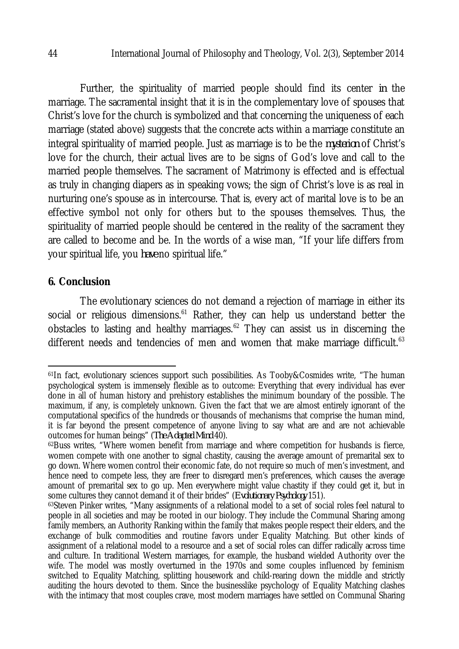Further, the spirituality of married people should find its center *in* the marriage. The sacramental insight that it is in the complementary love of spouses that Christ's love for the church is symbolized and that concerning the uniqueness of each marriage (stated above) suggests that the concrete acts within a marriage constitute an integral spirituality of married people. Just as marriage is to be the *mysterion* of Christ's love for the church, their actual lives are to be signs of God's love and call to the married people themselves. The sacrament of Matrimony is effected and is effectual as truly in changing diapers as in speaking vows; the sign of Christ's love is as real in nurturing one's spouse as in intercourse. That is, every act of marital love is to be an effective symbol not only for others but to the spouses themselves. Thus, the spirituality of married people should be centered in the reality of the sacrament they are called to become and be. In the words of a wise man, "If your life differs from your spiritual life, you *have* no spiritual life."

#### **6. Conclusion**

The evolutionary sciences do not demand a rejection of marriage in either its social or religious dimensions.<sup>61</sup> Rather, they can help us understand better the obstacles to lasting and healthy marriages. $62$  They can assist us in discerning the different needs and tendencies of men and women that make marriage difficult.<sup>63</sup>

 $\overline{a}$ <sup>61</sup>In fact, evolutionary sciences support such possibilities. As Tooby&Cosmides write, "The human psychological system is immensely flexible as to outcome: Everything that every individual has ever done in all of human history and prehistory establishes the minimum boundary of the possible. The maximum, if any, is completely unknown. Given the fact that we are almost entirely ignorant of the computational specifics of the hundreds or thousands of mechanisms that comprise the human mind, it is far beyond the present competence of anyone living to say what are and are not achievable outcomes for human beings" (*The Adapted Mind* 40).

 $62$ Buss writes, "Where women benefit from marriage and where competition for husbands is fierce, women compete with one another to signal chastity, causing the average amount of premarital sex to go down. Where women control their economic fate, do not require so much of men's investment, and hence need to compete less, they are freer to disregard men's preferences, which causes the average amount of premarital sex to go up. Men everywhere might value chastity if they could get it, but in some cultures they cannot demand it of their brides" (*Evolutionary Psychology* 151).

<sup>63</sup>Steven Pinker writes, "Many assignments of a relational model to a set of social roles feel natural to people in all societies and may be rooted in our biology. They include the Communal Sharing among family members, an Authority Ranking within the family that makes people respect their elders, and the exchange of bulk commodities and routine favors under Equality Matching. But other kinds of assignment of a relational model to a resource and a set of social roles can differ radically across time and culture. In traditional Western marriages, for example, the husband wielded Authority over the wife. The model was mostly overturned in the 1970s and some couples influenced by feminism switched to Equality Matching, splitting housework and child-rearing down the middle and strictly auditing the hours devoted to them. Since the businesslike psychology of Equality Matching clashes with the intimacy that most couples crave, most modern marriages have settled on Communal Sharing